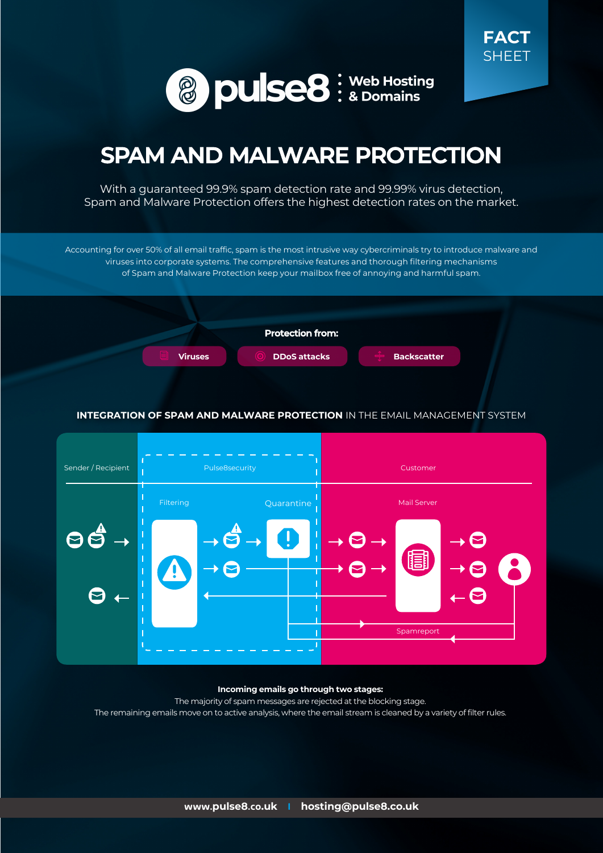



# **SPAM AND MALWARE PROTECTION**

With a guaranteed 99.9% spam detection rate and 99.99% virus detection, Spam and Malware Protection offers the highest detection rates on the market.

Accounting for over 50% of all email traffic, spam is the most intrusive way cybercriminals try to introduce malware and viruses into corporate systems. The comprehensive features and thorough filtering mechanisms of Spam and Malware Protection keep your mailbox free of annoying and harmful spam.



#### **INTEGRATION OF SPAM AND MALWARE PROTECTION** IN THE EMAIL MANAGEMENT SYSTEM



#### **Incoming emails go through two stages:**

The majority of spam messages are rejected at the blocking stage. The remaining emails move on to active analysis, where the email stream is cleaned by a variety of filter rules.